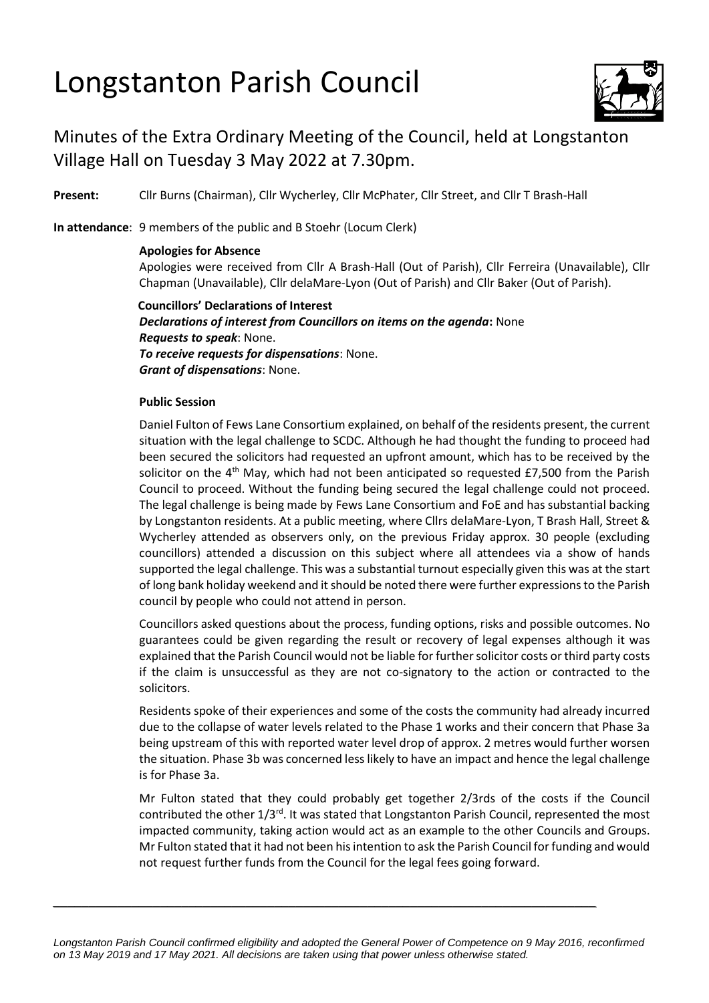# Longstanton Parish Council



## Minutes of the Extra Ordinary Meeting of the Council, held at Longstanton Village Hall on Tuesday 3 May 2022 at 7.30pm.

**Present:** Cllr Burns (Chairman), Cllr Wycherley, Cllr McPhater, Cllr Street, and Cllr T Brash-Hall

**In attendance**: 9 members of the public and B Stoehr (Locum Clerk)

### **Apologies for Absence**

Apologies were received from Cllr A Brash-Hall (Out of Parish), Cllr Ferreira (Unavailable), Cllr Chapman (Unavailable), Cllr delaMare-Lyon (Out of Parish) and Cllr Baker (Out of Parish).

**Councillors' Declarations of Interest** *Declarations of interest from Councillors on items on the agenda***:** None *Requests to speak*: None. *To receive requests for dispensations*: None. *Grant of dispensations*: None.

### **Public Session**

Daniel Fulton of Fews Lane Consortium explained, on behalf of the residents present, the current situation with the legal challenge to SCDC. Although he had thought the funding to proceed had been secured the solicitors had requested an upfront amount, which has to be received by the solicitor on the  $4<sup>th</sup>$  May, which had not been anticipated so requested £7,500 from the Parish Council to proceed. Without the funding being secured the legal challenge could not proceed. The legal challenge is being made by Fews Lane Consortium and FoE and has substantial backing by Longstanton residents. At a public meeting, where Cllrs delaMare-Lyon, T Brash Hall, Street & Wycherley attended as observers only, on the previous Friday approx. 30 people (excluding councillors) attended a discussion on this subject where all attendees via a show of hands supported the legal challenge. This was a substantial turnout especially given this was at the start of long bank holiday weekend and it should be noted there were further expressions to the Parish council by people who could not attend in person.

Councillors asked questions about the process, funding options, risks and possible outcomes. No guarantees could be given regarding the result or recovery of legal expenses although it was explained that the Parish Council would not be liable for further solicitor costs or third party costs if the claim is unsuccessful as they are not co-signatory to the action or contracted to the solicitors.

Residents spoke of their experiences and some of the costs the community had already incurred due to the collapse of water levels related to the Phase 1 works and their concern that Phase 3a being upstream of this with reported water level drop of approx. 2 metres would further worsen the situation. Phase 3b was concerned less likely to have an impact and hence the legal challenge is for Phase 3a.

Mr Fulton stated that they could probably get together 2/3rds of the costs if the Council contributed the other 1/3<sup>rd</sup>. It was stated that Longstanton Parish Council, represented the most impacted community, taking action would act as an example to the other Councils and Groups. Mr Fulton stated that it had not been his intention to ask the Parish Council for funding and would not request further funds from the Council for the legal fees going forward.